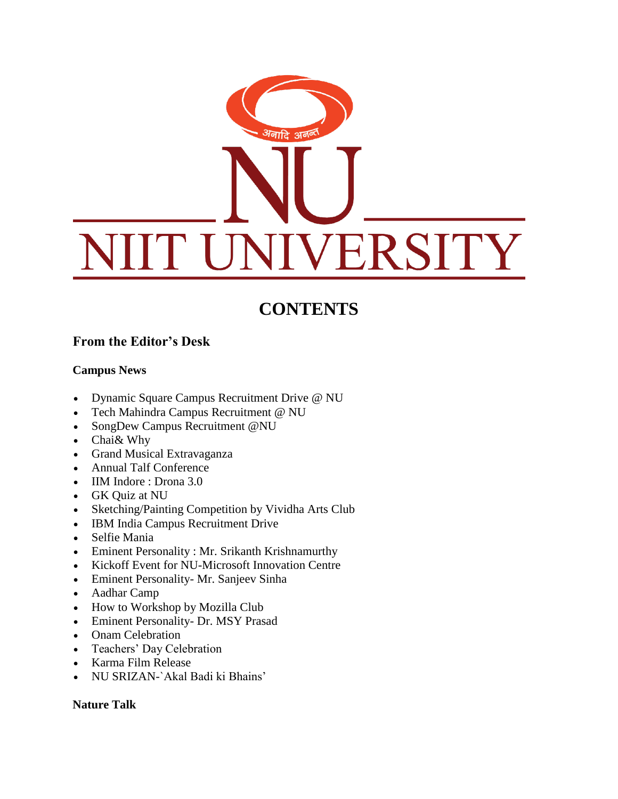# अनादि अवन् VERSITY

# **CONTENTS**

## **From the Editor's Desk**

#### **Campus News**

- Dynamic Square Campus Recruitment Drive @ NU
- Tech Mahindra Campus Recruitment @ NU
- SongDew Campus Recruitment @NU
- Chai& Why
- Grand Musical Extravaganza
- Annual Talf Conference
- IIM Indore : Drona 3.0
- GK Quiz at NU
- Sketching/Painting Competition by Vividha Arts Club
- IBM India Campus Recruitment Drive
- Selfie Mania
- Eminent Personality : Mr. Srikanth Krishnamurthy
- Kickoff Event for NU-Microsoft Innovation Centre
- Eminent Personality- Mr. Sanjeev Sinha
- Aadhar Camp
- How to Workshop by Mozilla Club
- Eminent Personality- Dr. MSY Prasad
- Onam Celebration
- Teachers' Day Celebration
- Karma Film Release
- NU SRIZAN-`Akal Badi ki Bhains'

#### **Nature Talk**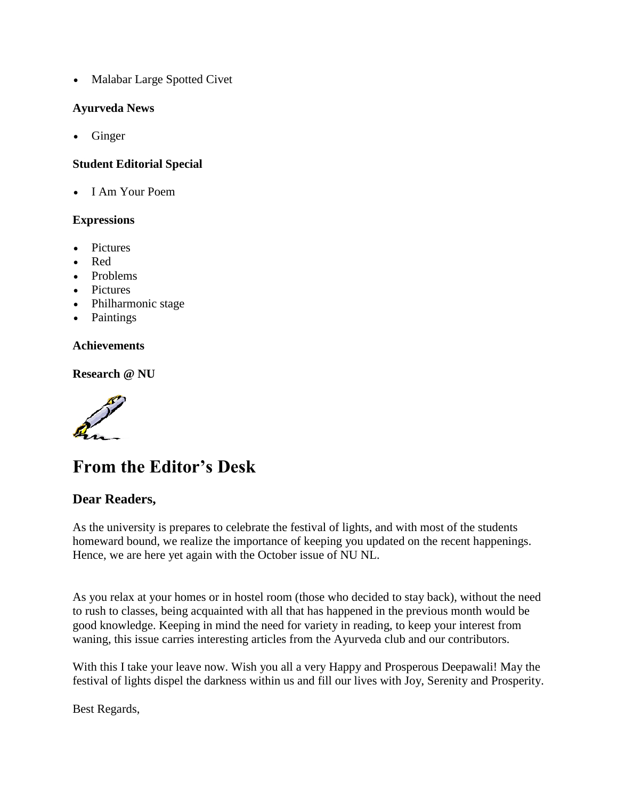• Malabar Large Spotted Civet

#### **Ayurveda News**

Ginger

#### **Student Editorial Special**

• I Am Your Poem

#### **Expressions**

- **Pictures**
- Red
- Problems
- Pictures
- Philharmonic stage
- Paintings

#### **Achievements**

**Research @ NU**

# **From the Editor's Desk**

#### **Dear Readers,**

As the university is prepares to celebrate the festival of lights, and with most of the students homeward bound, we realize the importance of keeping you updated on the recent happenings. Hence, we are here yet again with the October issue of NU NL.

As you relax at your homes or in hostel room (those who decided to stay back), without the need to rush to classes, being acquainted with all that has happened in the previous month would be good knowledge. Keeping in mind the need for variety in reading, to keep your interest from waning, this issue carries interesting articles from the Ayurveda club and our contributors.

With this I take your leave now. Wish you all a very Happy and Prosperous Deepawali! May the festival of lights dispel the darkness within us and fill our lives with Joy, Serenity and Prosperity.

Best Regards,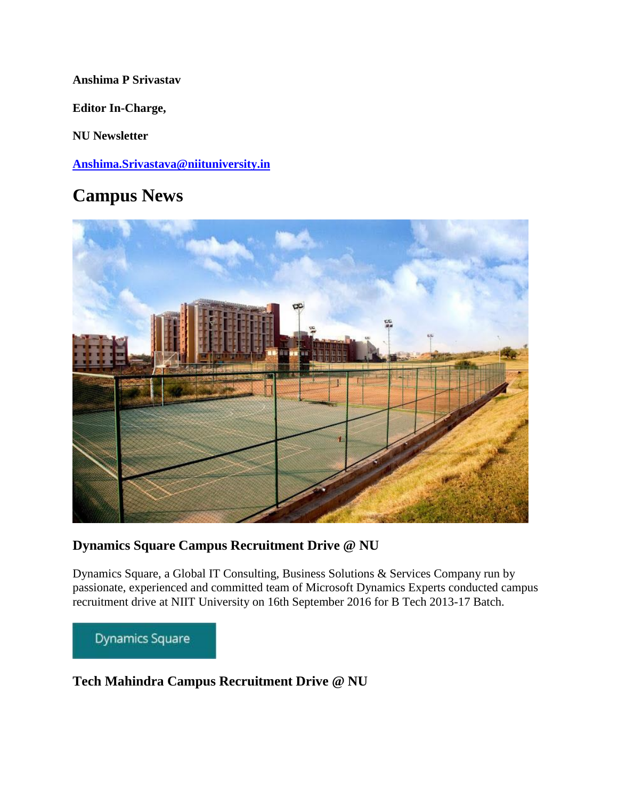#### **Anshima P Srivastav**

**Editor In-Charge,**

**NU Newsletter**

**[Anshima.Srivastava@niituniversity.in](mailto:Anshima.Srivastava@niituniversity.in)**

# **Campus News**



### **Dynamics Square Campus Recruitment Drive @ NU**

Dynamics Square, a Global IT Consulting, Business Solutions & Services Company run by passionate, experienced and committed team of Microsoft Dynamics Experts conducted campus recruitment drive at NIIT University on 16th September 2016 for B Tech 2013-17 Batch.

Dynamics Square

### **Tech Mahindra Campus Recruitment Drive @ NU**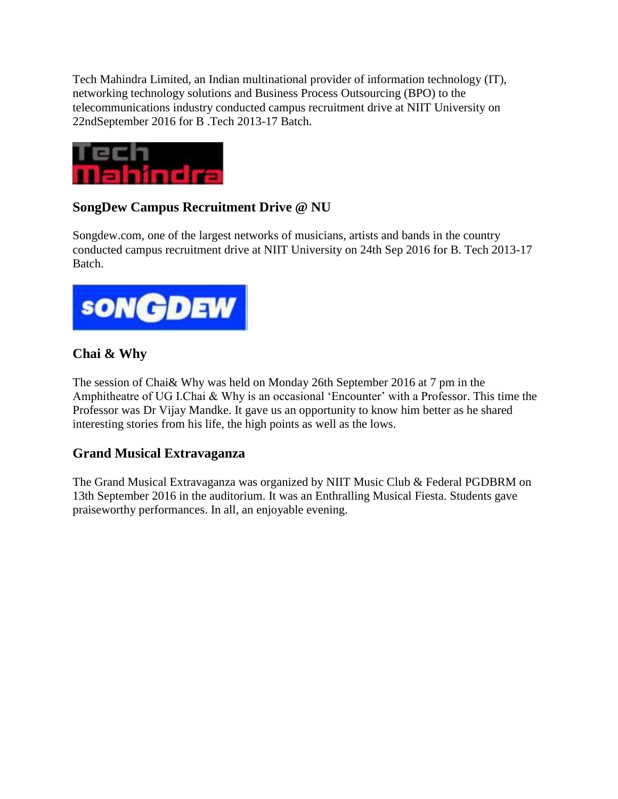Tech Mahindra Limited, an Indian multinational provider of information technology (IT), networking technology solutions and Business Process Outsourcing (BPO) to the telecommunications industry conducted campus recruitment drive at NIIT University on 22ndSeptember 2016 for B .Tech 2013-17 Batch.



# **SongDew Campus Recruitment Drive @ NU**

Songdew.com, one of the largest networks of musicians, artists and bands in the country conducted campus recruitment drive at NIIT University on 24th Sep 2016 for B. Tech 2013-17 Batch.



## **Chai & Why**

The session of Chai& Why was held on Monday 26th September 2016 at 7 pm in the Amphitheatre of UG I.Chai & Why is an occasional 'Encounter' with a Professor. This time the Professor was Dr Vijay Mandke. It gave us an opportunity to know him better as he shared interesting stories from his life, the high points as well as the lows.

### **Grand Musical Extravaganza**

The Grand Musical Extravaganza was organized by NIIT Music Club & Federal PGDBRM on 13th September 2016 in the auditorium. It was an Enthralling Musical Fiesta. Students gave praiseworthy performances. In all, an enjoyable evening.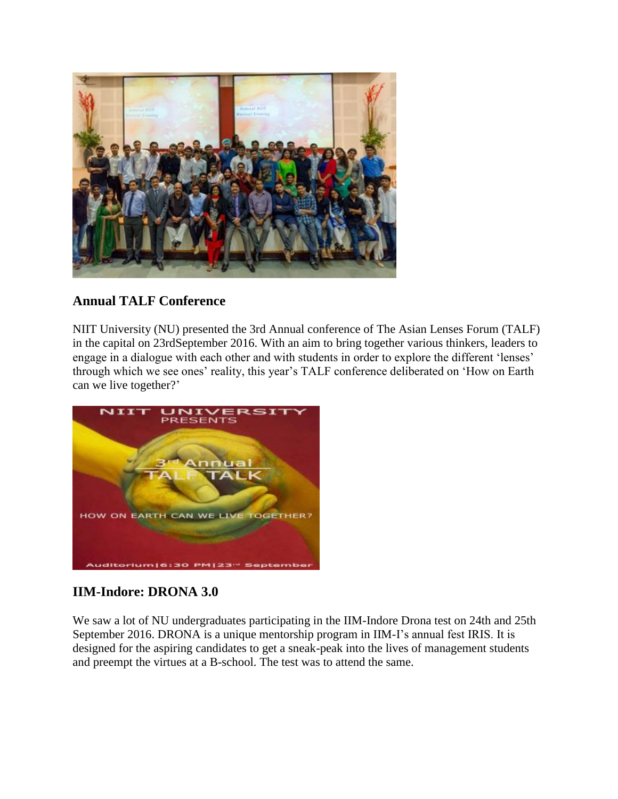

### **Annual TALF Conference**

NIIT University (NU) presented the 3rd Annual conference of The Asian Lenses Forum (TALF) in the capital on 23rdSeptember 2016. With an aim to bring together various thinkers, leaders to engage in a dialogue with each other and with students in order to explore the different 'lenses' through which we see ones' reality, this year's TALF conference deliberated on 'How on Earth can we live together?'



## **IIM-Indore: DRONA 3.0**

We saw a lot of NU undergraduates participating in the IIM-Indore Drona test on 24th and 25th September 2016. DRONA is a unique mentorship program in IIM-I's annual fest IRIS. It is designed for the aspiring candidates to get a sneak-peak into the lives of management students and preempt the virtues at a B-school. The test was to attend the same.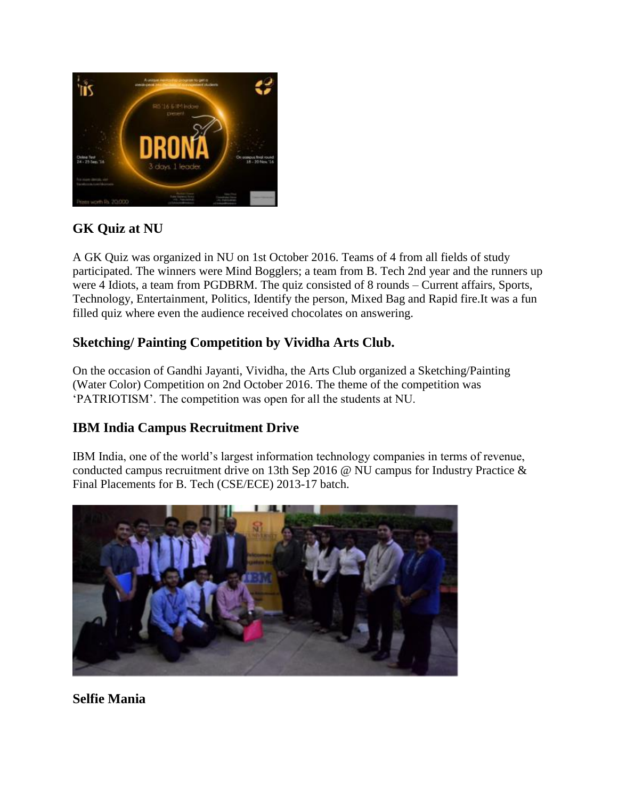

# **GK Quiz at NU**

A GK Quiz was organized in NU on 1st October 2016. Teams of 4 from all fields of study participated. The winners were Mind Bogglers; a team from B. Tech 2nd year and the runners up were 4 Idiots, a team from PGDBRM. The quiz consisted of 8 rounds – Current affairs, Sports, Technology, Entertainment, Politics, Identify the person, Mixed Bag and Rapid fire.It was a fun filled quiz where even the audience received chocolates on answering.

## **Sketching/ Painting Competition by Vividha Arts Club.**

On the occasion of Gandhi Jayanti, Vividha, the Arts Club organized a Sketching/Painting (Water Color) Competition on 2nd October 2016. The theme of the competition was 'PATRIOTISM'. The competition was open for all the students at NU.

## **IBM India Campus Recruitment Drive**

IBM India, one of the world's largest information technology companies in terms of revenue, conducted campus recruitment drive on 13th Sep 2016 @ NU campus for Industry Practice & Final Placements for B. Tech (CSE/ECE) 2013-17 batch.



**Selfie Mania**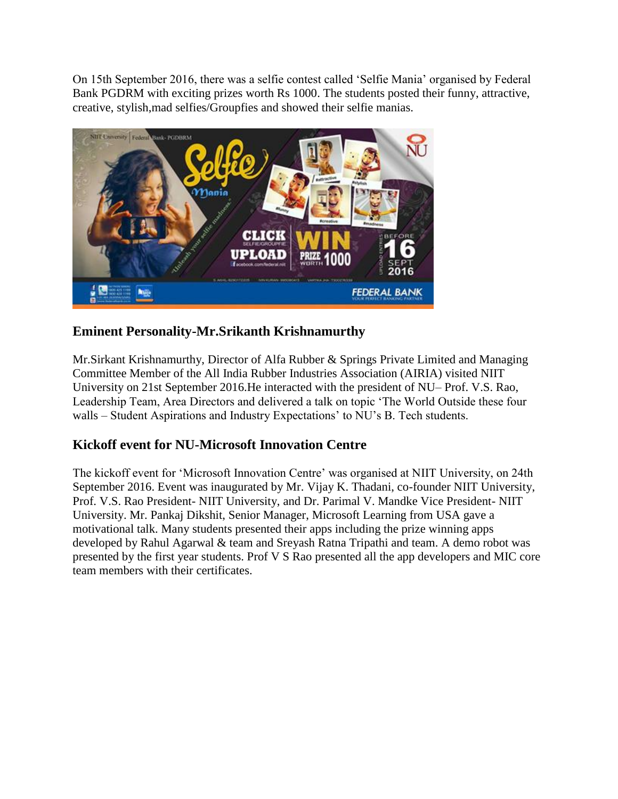On 15th September 2016, there was a selfie contest called 'Selfie Mania' organised by Federal Bank PGDRM with exciting prizes worth Rs 1000. The students posted their funny, attractive, creative, stylish,mad selfies/Groupfies and showed their selfie manias.



## **Eminent Personality-Mr.Srikanth Krishnamurthy**

Mr.Sirkant Krishnamurthy, Director of Alfa Rubber & Springs Private Limited and Managing Committee Member of the All India Rubber Industries Association (AIRIA) visited NIIT University on 21st September 2016.He interacted with the president of NU– Prof. V.S. Rao, Leadership Team, Area Directors and delivered a talk on topic 'The World Outside these four walls – Student Aspirations and Industry Expectations' to NU's B. Tech students.

### **Kickoff event for NU-Microsoft Innovation Centre**

The kickoff event for 'Microsoft Innovation Centre' was organised at NIIT University, on 24th September 2016. Event was inaugurated by Mr. Vijay K. Thadani, co-founder NIIT University, Prof. V.S. Rao President- NIIT University, and Dr. Parimal V. Mandke Vice President- NIIT University. Mr. Pankaj Dikshit, Senior Manager, Microsoft Learning from USA gave a motivational talk. Many students presented their apps including the prize winning apps developed by Rahul Agarwal & team and Sreyash Ratna Tripathi and team. A demo robot was presented by the first year students. Prof V S Rao presented all the app developers and MIC core team members with their certificates.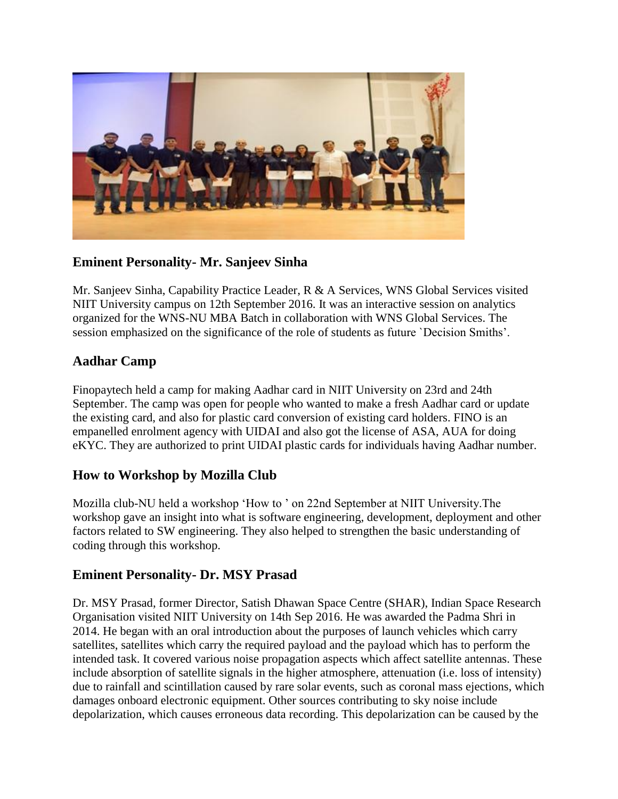

#### **Eminent Personality- Mr. Sanjeev Sinha**

Mr. Sanjeev Sinha, Capability Practice Leader, R & A Services, WNS Global Services visited NIIT University campus on 12th September 2016. It was an interactive session on analytics organized for the WNS-NU MBA Batch in collaboration with WNS Global Services. The session emphasized on the significance of the role of students as future `Decision Smiths'.

### **Aadhar Camp**

Finopaytech held a camp for making Aadhar card in NIIT University on 23rd and 24th September. The camp was open for people who wanted to make a fresh Aadhar card or update the existing card, and also for plastic card conversion of existing card holders. FINO is an empanelled enrolment agency with UIDAI and also got the license of ASA, AUA for doing eKYC. They are authorized to print UIDAI plastic cards for individuals having Aadhar number.

### **How to Workshop by Mozilla Club**

Mozilla club-NU held a workshop 'How to ' on 22nd September at NIIT University.The workshop gave an insight into what is software engineering, development, deployment and other factors related to SW engineering. They also helped to strengthen the basic understanding of coding through this workshop.

#### **Eminent Personality- Dr. MSY Prasad**

Dr. MSY Prasad, former Director, Satish Dhawan Space Centre (SHAR), Indian Space Research Organisation visited NIIT University on 14th Sep 2016. He was awarded the Padma Shri in 2014. He began with an oral introduction about the purposes of launch vehicles which carry satellites, satellites which carry the required payload and the payload which has to perform the intended task. It covered various noise propagation aspects which affect satellite antennas. These include absorption of satellite signals in the higher atmosphere, attenuation (i.e. loss of intensity) due to rainfall and scintillation caused by rare solar events, such as coronal mass ejections, which damages onboard electronic equipment. Other sources contributing to sky noise include depolarization, which causes erroneous data recording. This depolarization can be caused by the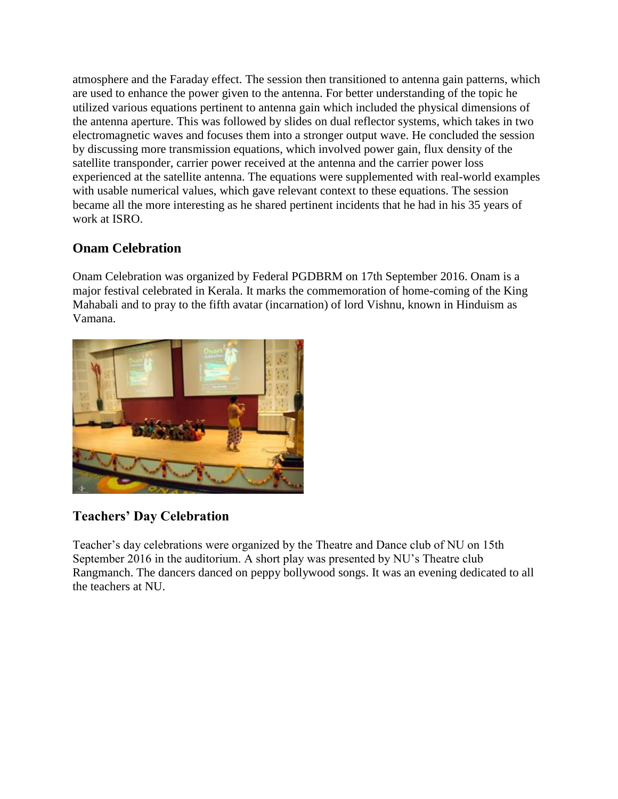atmosphere and the Faraday effect. The session then transitioned to antenna gain patterns, which are used to enhance the power given to the antenna. For better understanding of the topic he utilized various equations pertinent to antenna gain which included the physical dimensions of the antenna aperture. This was followed by slides on dual reflector systems, which takes in two electromagnetic waves and focuses them into a stronger output wave. He concluded the session by discussing more transmission equations, which involved power gain, flux density of the satellite transponder, carrier power received at the antenna and the carrier power loss experienced at the satellite antenna. The equations were supplemented with real-world examples with usable numerical values, which gave relevant context to these equations. The session became all the more interesting as he shared pertinent incidents that he had in his 35 years of work at ISRO.

## **Onam Celebration**

Onam Celebration was organized by Federal PGDBRM on 17th September 2016. Onam is a major festival celebrated in Kerala. It marks the commemoration of home-coming of the King Mahabali and to pray to the fifth avatar (incarnation) of lord Vishnu, known in Hinduism as Vamana.



### **Teachers' Day Celebration**

Teacher's day celebrations were organized by the Theatre and Dance club of NU on 15th September 2016 in the auditorium. A short play was presented by NU's Theatre club Rangmanch. The dancers danced on peppy bollywood songs. It was an evening dedicated to all the teachers at NU.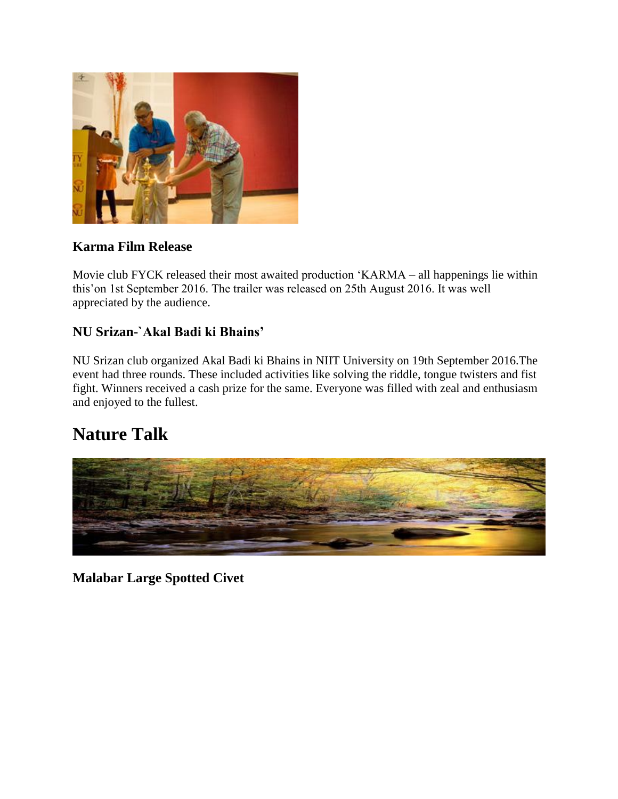

### **Karma Film Release**

Movie club FYCK released their most awaited production 'KARMA – all happenings lie within this'on 1st September 2016. The trailer was released on 25th August 2016. It was well appreciated by the audience.

### **NU Srizan-`Akal Badi ki Bhains'**

NU Srizan club organized Akal Badi ki Bhains in NIIT University on 19th September 2016.The event had three rounds. These included activities like solving the riddle, tongue twisters and fist fight. Winners received a cash prize for the same. Everyone was filled with zeal and enthusiasm and enjoyed to the fullest.

# **Nature Talk**



**Malabar Large Spotted Civet**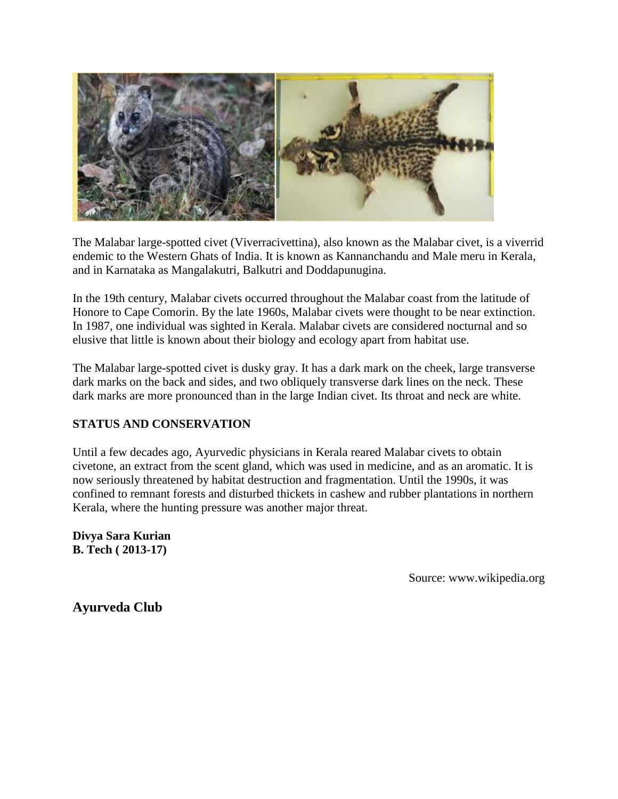

The Malabar large-spotted civet (Viverracivettina), also known as the Malabar civet, is a viverrid endemic to the Western Ghats of India. It is known as Kannanchandu and Male meru in Kerala, and in Karnataka as Mangalakutri, Balkutri and Doddapunugina.

In the 19th century, Malabar civets occurred throughout the Malabar coast from the latitude of Honore to Cape Comorin. By the late 1960s, Malabar civets were thought to be near extinction. In 1987, one individual was sighted in Kerala. Malabar civets are considered nocturnal and so elusive that little is known about their biology and ecology apart from habitat use.

The Malabar large-spotted civet is dusky gray. It has a dark mark on the cheek, large transverse dark marks on the back and sides, and two obliquely transverse dark lines on the neck. These dark marks are more pronounced than in the large Indian civet. Its throat and neck are white.

#### **STATUS AND CONSERVATION**

Until a few decades ago, Ayurvedic physicians in Kerala reared Malabar civets to obtain civetone, an extract from the scent gland, which was used in medicine, and as an aromatic. It is now seriously threatened by habitat destruction and fragmentation. Until the 1990s, it was confined to remnant forests and disturbed thickets in cashew and rubber plantations in northern Kerala, where the hunting pressure was another major threat.

**Divya Sara Kurian B. Tech ( 2013-17)**

Source: www.wikipedia.org

**Ayurveda Club**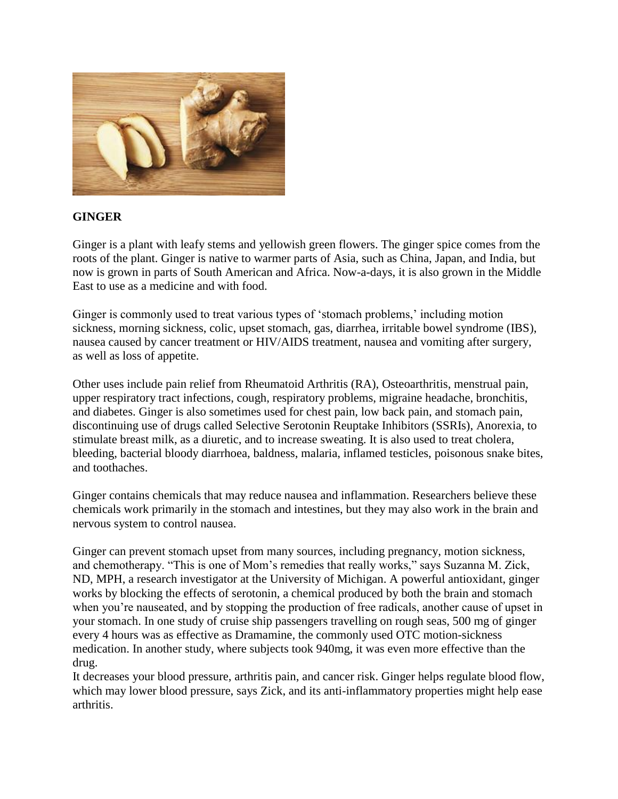

#### **GINGER**

Ginger is a plant with leafy stems and yellowish green flowers. The ginger spice comes from the roots of the plant. Ginger is native to warmer parts of Asia, such as China, Japan, and India, but now is grown in parts of South American and Africa. Now-a-days, it is also grown in the Middle East to use as a medicine and with food.

Ginger is commonly used to treat various types of 'stomach problems,' including motion sickness, morning sickness, colic, upset stomach, gas, diarrhea, irritable bowel syndrome (IBS), nausea caused by cancer treatment or HIV/AIDS treatment, nausea and vomiting after surgery, as well as loss of appetite.

Other uses include pain relief from Rheumatoid Arthritis (RA), Osteoarthritis, menstrual pain, upper respiratory tract infections, cough, respiratory problems, migraine headache, bronchitis, and diabetes. Ginger is also sometimes used for chest pain, low back pain, and stomach pain, discontinuing use of drugs called Selective Serotonin Reuptake Inhibitors (SSRIs), Anorexia, to stimulate breast milk, as a diuretic, and to increase sweating. It is also used to treat cholera, bleeding, bacterial bloody diarrhoea, baldness, malaria, inflamed testicles, poisonous snake bites, and toothaches.

Ginger contains chemicals that may reduce nausea and inflammation. Researchers believe these chemicals work primarily in the stomach and intestines, but they may also work in the brain and nervous system to control nausea.

Ginger can prevent stomach upset from many sources, including pregnancy, motion sickness, and chemotherapy. "This is one of Mom's remedies that really works," says Suzanna M. Zick, ND, MPH, a research investigator at the University of Michigan. A powerful antioxidant, ginger works by blocking the effects of serotonin, a chemical produced by both the brain and stomach when you're nauseated, and by stopping the production of free radicals, another cause of upset in your stomach. In one study of cruise ship passengers travelling on rough seas, 500 mg of ginger every 4 hours was as effective as Dramamine, the commonly used OTC motion-sickness medication. In another study, where subjects took 940mg, it was even more effective than the drug.

It decreases your blood pressure, arthritis pain, and cancer risk. Ginger helps regulate blood flow, which may lower blood pressure, says Zick, and its anti-inflammatory properties might help ease arthritis.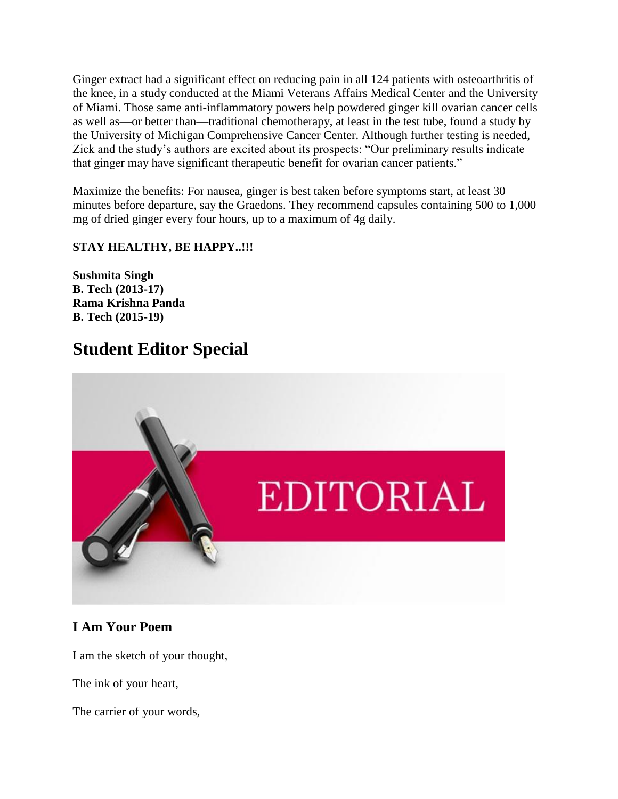Ginger extract had a significant effect on reducing pain in all 124 patients with osteoarthritis of the knee, in a study conducted at the Miami Veterans Affairs Medical Center and the University of Miami. Those same anti-inflammatory powers help powdered ginger kill ovarian cancer cells as well as—or better than—traditional chemotherapy, at least in the test tube, found a study by the University of Michigan Comprehensive Cancer Center. Although further testing is needed, Zick and the study's authors are excited about its prospects: "Our preliminary results indicate that ginger may have significant therapeutic benefit for ovarian cancer patients."

Maximize the benefits: For nausea, ginger is best taken before symptoms start, at least 30 minutes before departure, say the Graedons. They recommend capsules containing 500 to 1,000 mg of dried ginger every four hours, up to a maximum of 4g daily.

#### **STAY HEALTHY, BE HAPPY..!!!**

**Sushmita Singh B. Tech (2013-17) Rama Krishna Panda B. Tech (2015-19)**

# **Student Editor Special**



### **I Am Your Poem**

I am the sketch of your thought,

The ink of your heart,

The carrier of your words,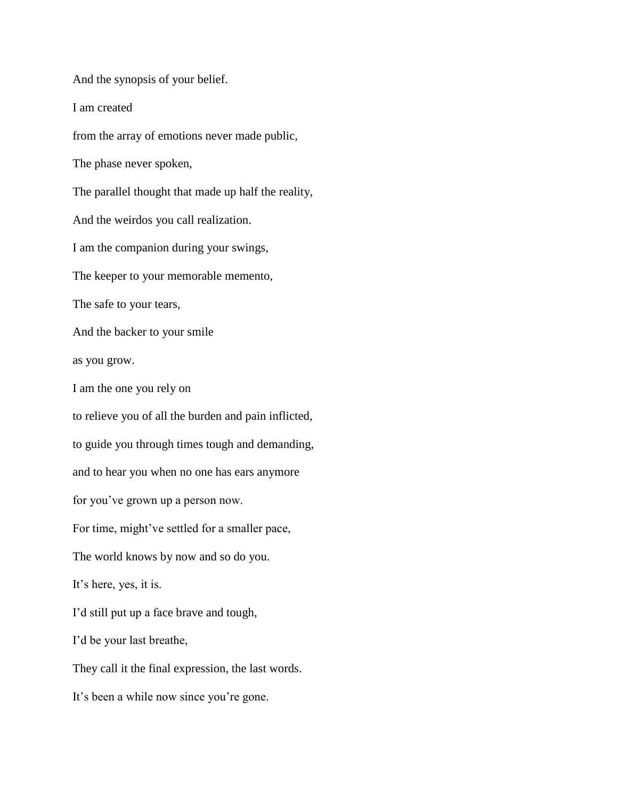And the synopsis of your belief. I am created from the array of emotions never made public, The phase never spoken, The parallel thought that made up half the reality, And the weirdos you call realization. I am the companion during your swings, The keeper to your memorable memento, The safe to your tears, And the backer to your smile as you grow. I am the one you rely on to relieve you of all the burden and pain inflicted, to guide you through times tough and demanding, and to hear you when no one has ears anymore for you've grown up a person now. For time, might've settled for a smaller pace, The world knows by now and so do you. It's here, yes, it is. I'd still put up a face brave and tough, I'd be your last breathe, They call it the final expression, the last words. It's been a while now since you're gone.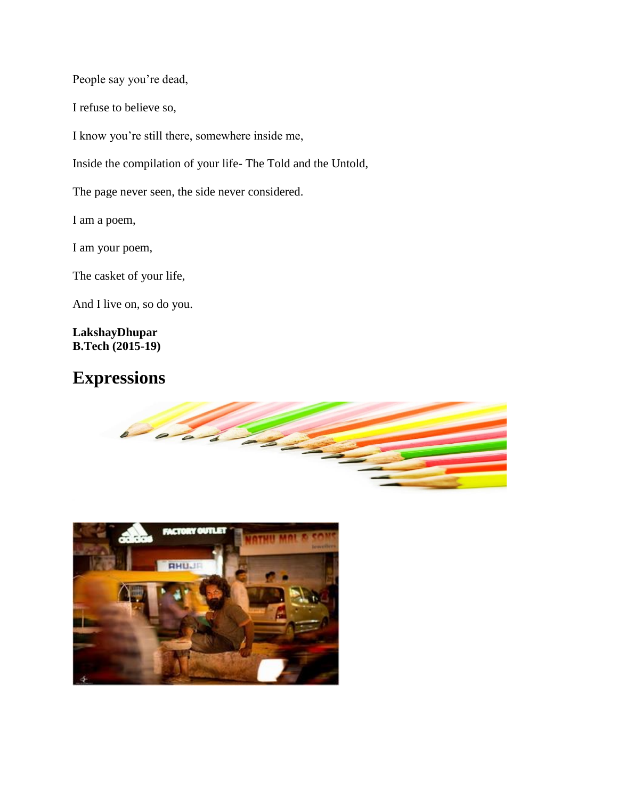People say you're dead,

I refuse to believe so,

I know you're still there, somewhere inside me,

Inside the compilation of your life- The Told and the Untold,

The page never seen, the side never considered.

I am a poem,

I am your poem,

The casket of your life,

And I live on, so do you.

**LakshayDhupar B.Tech (2015-19)**

# **Expressions**



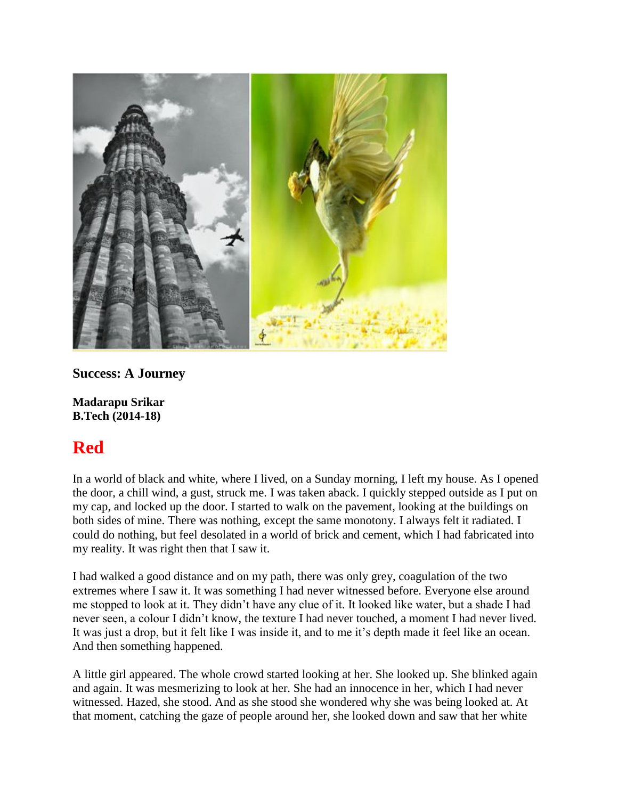

**Success: A Journey**

**Madarapu Srikar B.Tech (2014-18)**

# **Red**

In a world of black and white, where I lived, on a Sunday morning, I left my house. As I opened the door, a chill wind, a gust, struck me. I was taken aback. I quickly stepped outside as I put on my cap, and locked up the door. I started to walk on the pavement, looking at the buildings on both sides of mine. There was nothing, except the same monotony. I always felt it radiated. I could do nothing, but feel desolated in a world of brick and cement, which I had fabricated into my reality. It was right then that I saw it.

I had walked a good distance and on my path, there was only grey, coagulation of the two extremes where I saw it. It was something I had never witnessed before. Everyone else around me stopped to look at it. They didn't have any clue of it. It looked like water, but a shade I had never seen, a colour I didn't know, the texture I had never touched, a moment I had never lived. It was just a drop, but it felt like I was inside it, and to me it's depth made it feel like an ocean. And then something happened.

A little girl appeared. The whole crowd started looking at her. She looked up. She blinked again and again. It was mesmerizing to look at her. She had an innocence in her, which I had never witnessed. Hazed, she stood. And as she stood she wondered why she was being looked at. At that moment, catching the gaze of people around her, she looked down and saw that her white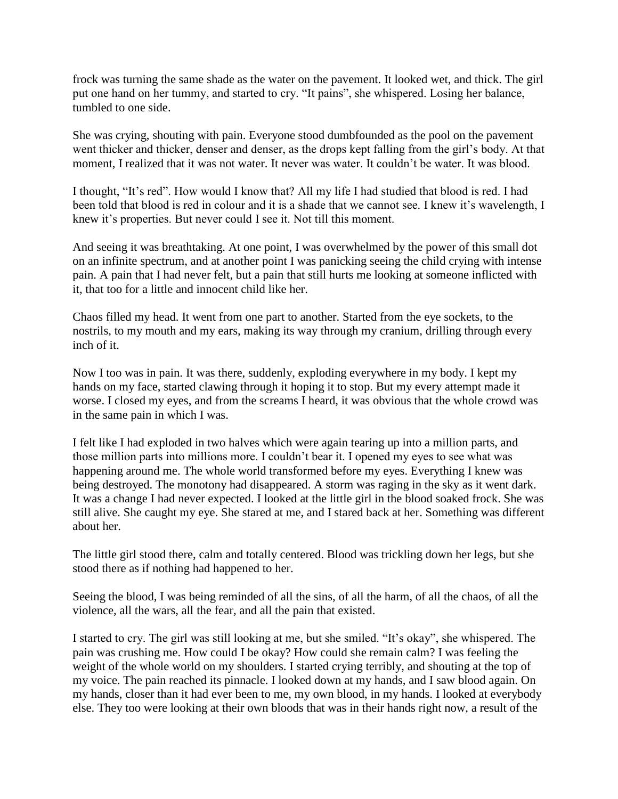frock was turning the same shade as the water on the pavement. It looked wet, and thick. The girl put one hand on her tummy, and started to cry. "It pains", she whispered. Losing her balance, tumbled to one side.

She was crying, shouting with pain. Everyone stood dumbfounded as the pool on the pavement went thicker and thicker, denser and denser, as the drops kept falling from the girl's body. At that moment, I realized that it was not water. It never was water. It couldn't be water. It was blood.

I thought, "It's red". How would I know that? All my life I had studied that blood is red. I had been told that blood is red in colour and it is a shade that we cannot see. I knew it's wavelength, I knew it's properties. But never could I see it. Not till this moment.

And seeing it was breathtaking. At one point, I was overwhelmed by the power of this small dot on an infinite spectrum, and at another point I was panicking seeing the child crying with intense pain. A pain that I had never felt, but a pain that still hurts me looking at someone inflicted with it, that too for a little and innocent child like her.

Chaos filled my head. It went from one part to another. Started from the eye sockets, to the nostrils, to my mouth and my ears, making its way through my cranium, drilling through every inch of it.

Now I too was in pain. It was there, suddenly, exploding everywhere in my body. I kept my hands on my face, started clawing through it hoping it to stop. But my every attempt made it worse. I closed my eyes, and from the screams I heard, it was obvious that the whole crowd was in the same pain in which I was.

I felt like I had exploded in two halves which were again tearing up into a million parts, and those million parts into millions more. I couldn't bear it. I opened my eyes to see what was happening around me. The whole world transformed before my eyes. Everything I knew was being destroyed. The monotony had disappeared. A storm was raging in the sky as it went dark. It was a change I had never expected. I looked at the little girl in the blood soaked frock. She was still alive. She caught my eye. She stared at me, and I stared back at her. Something was different about her.

The little girl stood there, calm and totally centered. Blood was trickling down her legs, but she stood there as if nothing had happened to her.

Seeing the blood, I was being reminded of all the sins, of all the harm, of all the chaos, of all the violence, all the wars, all the fear, and all the pain that existed.

I started to cry. The girl was still looking at me, but she smiled. "It's okay", she whispered. The pain was crushing me. How could I be okay? How could she remain calm? I was feeling the weight of the whole world on my shoulders. I started crying terribly, and shouting at the top of my voice. The pain reached its pinnacle. I looked down at my hands, and I saw blood again. On my hands, closer than it had ever been to me, my own blood, in my hands. I looked at everybody else. They too were looking at their own bloods that was in their hands right now, a result of the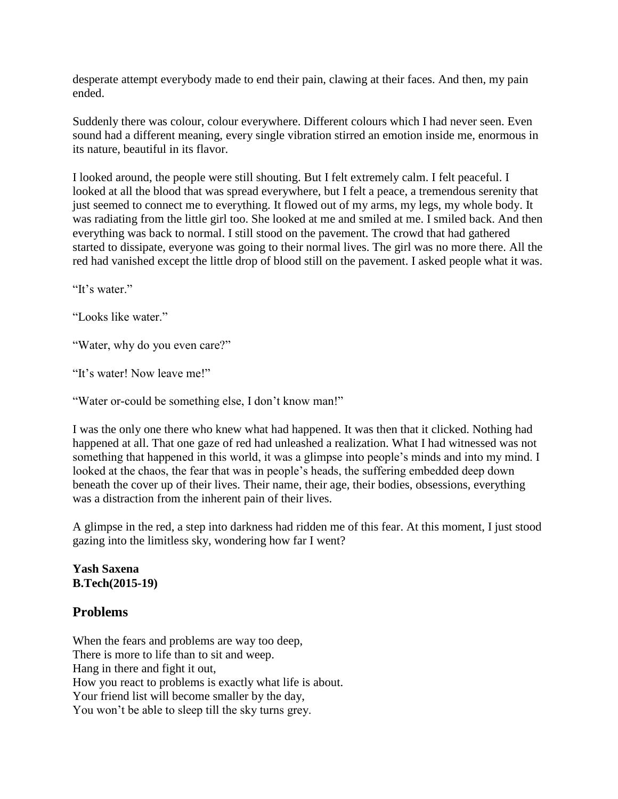desperate attempt everybody made to end their pain, clawing at their faces. And then, my pain ended.

Suddenly there was colour, colour everywhere. Different colours which I had never seen. Even sound had a different meaning, every single vibration stirred an emotion inside me, enormous in its nature, beautiful in its flavor.

I looked around, the people were still shouting. But I felt extremely calm. I felt peaceful. I looked at all the blood that was spread everywhere, but I felt a peace, a tremendous serenity that just seemed to connect me to everything. It flowed out of my arms, my legs, my whole body. It was radiating from the little girl too. She looked at me and smiled at me. I smiled back. And then everything was back to normal. I still stood on the pavement. The crowd that had gathered started to dissipate, everyone was going to their normal lives. The girl was no more there. All the red had vanished except the little drop of blood still on the pavement. I asked people what it was.

"It's water."

"Looks like water."

"Water, why do you even care?"

"It's water! Now leave me!"

"Water or-could be something else, I don't know man!"

I was the only one there who knew what had happened. It was then that it clicked. Nothing had happened at all. That one gaze of red had unleashed a realization. What I had witnessed was not something that happened in this world, it was a glimpse into people's minds and into my mind. I looked at the chaos, the fear that was in people's heads, the suffering embedded deep down beneath the cover up of their lives. Their name, their age, their bodies, obsessions, everything was a distraction from the inherent pain of their lives.

A glimpse in the red, a step into darkness had ridden me of this fear. At this moment, I just stood gazing into the limitless sky, wondering how far I went?

#### **Yash Saxena B.Tech(2015-19)**

#### **Problems**

When the fears and problems are way too deep, There is more to life than to sit and weep. Hang in there and fight it out, How you react to problems is exactly what life is about. Your friend list will become smaller by the day, You won't be able to sleep till the sky turns grey.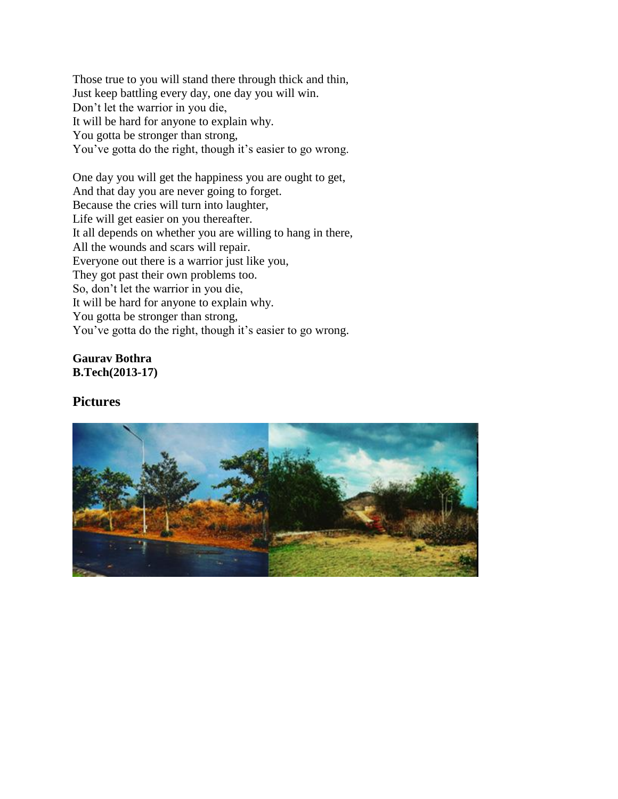Those true to you will stand there through thick and thin, Just keep battling every day, one day you will win. Don't let the warrior in you die, It will be hard for anyone to explain why. You gotta be stronger than strong, You've gotta do the right, though it's easier to go wrong.

One day you will get the happiness you are ought to get, And that day you are never going to forget. Because the cries will turn into laughter, Life will get easier on you thereafter. It all depends on whether you are willing to hang in there, All the wounds and scars will repair. Everyone out there is a warrior just like you, They got past their own problems too. So, don't let the warrior in you die, It will be hard for anyone to explain why. You gotta be stronger than strong, You've gotta do the right, though it's easier to go wrong.

#### **Gaurav Bothra B.Tech(2013-17)**

#### **Pictures**

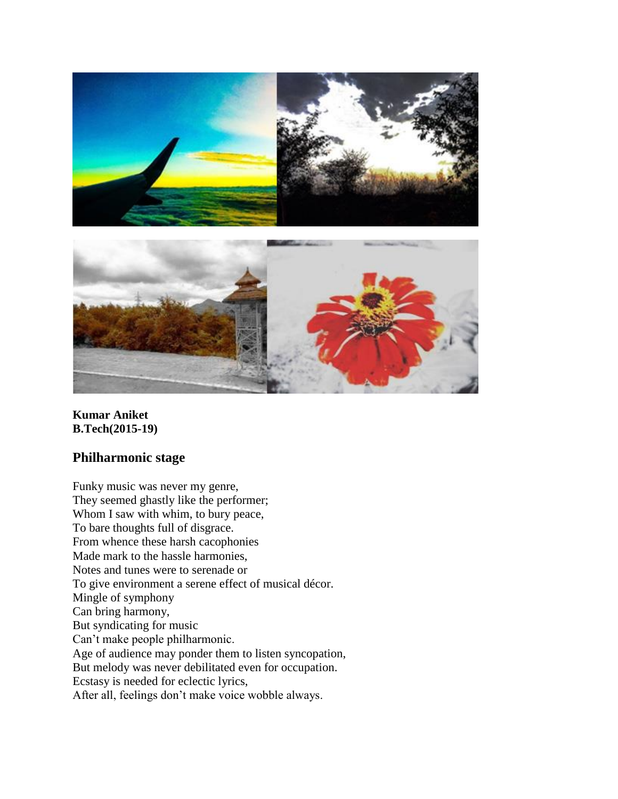



**Kumar Aniket B.Tech(2015-19)**

#### **Philharmonic stage**

Funky music was never my genre, They seemed ghastly like the performer; Whom I saw with whim, to bury peace, To bare thoughts full of disgrace. From whence these harsh cacophonies Made mark to the hassle harmonies, Notes and tunes were to serenade or To give environment a serene effect of musical décor. Mingle of symphony Can bring harmony, But syndicating for music Can't make people philharmonic. Age of audience may ponder them to listen syncopation, But melody was never debilitated even for occupation. Ecstasy is needed for eclectic lyrics, After all, feelings don't make voice wobble always.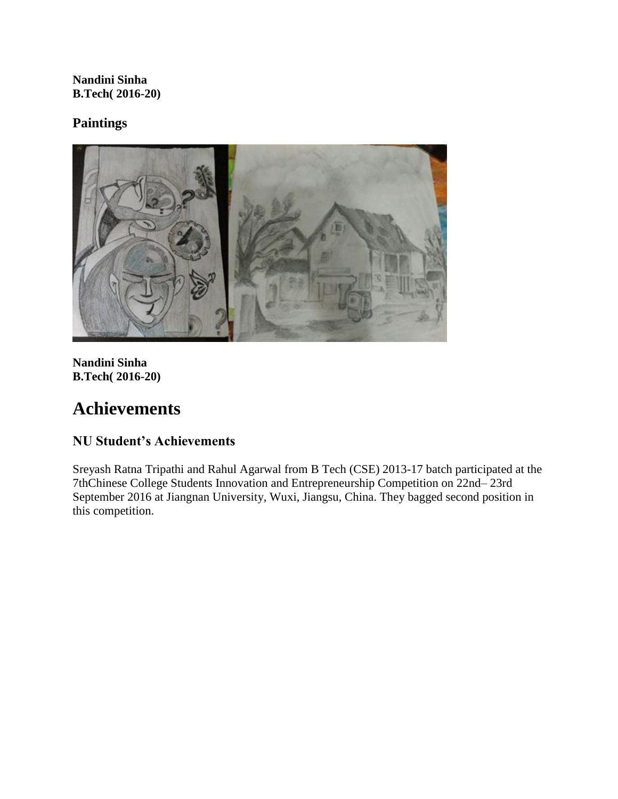**Nandini Sinha B.Tech( 2016-20)**

#### **Paintings**



**Nandini Sinha B.Tech( 2016-20)**

# **Achievements**

## **NU Student's Achievements**

Sreyash Ratna Tripathi and Rahul Agarwal from B Tech (CSE) 2013-17 batch participated at the 7thChinese College Students Innovation and Entrepreneurship Competition on 22nd– 23rd September 2016 at Jiangnan University, Wuxi, Jiangsu, China. They bagged second position in this competition.